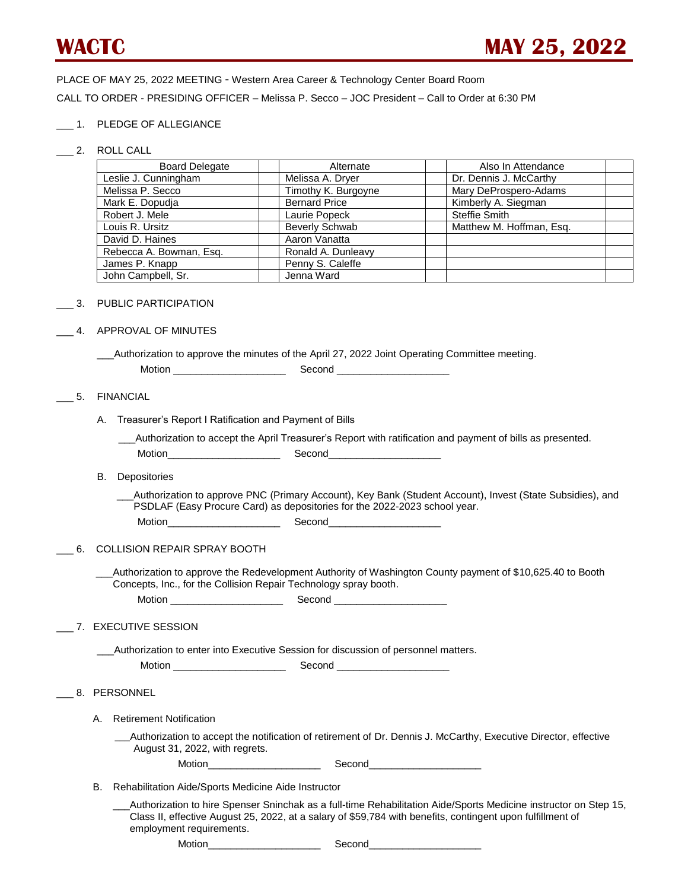PLACE OF MAY 25, 2022 MEETING - Western Area Career & Technology Center Board Room CALL TO ORDER - PRESIDING OFFICER – Melissa P. Secco – JOC President – Call to Order at 6:30 PM

### \_\_\_ 1. PLEDGE OF ALLEGIANCE

\_\_\_ 2. ROLL CALL

| <b>Board Delegate</b>   | Alternate             | Also In Attendance       |
|-------------------------|-----------------------|--------------------------|
| Leslie J. Cunningham    | Melissa A. Dryer      | Dr. Dennis J. McCarthy   |
| Melissa P. Secco        | Timothy K. Burgoyne   | Mary DeProspero-Adams    |
| Mark E. Dopudja         | <b>Bernard Price</b>  | Kimberly A. Siegman      |
| Robert J. Mele          | Laurie Popeck         | Steffie Smith            |
| Louis R. Ursitz         | <b>Beverly Schwab</b> | Matthew M. Hoffman, Esg. |
| David D. Haines         | Aaron Vanatta         |                          |
| Rebecca A. Bowman, Esg. | Ronald A. Dunleavy    |                          |
| James P. Knapp          | Penny S. Caleffe      |                          |
| John Campbell, Sr.      | Jenna Ward            |                          |

#### \_\_\_ 3. PUBLIC PARTICIPATION

### \_\_\_ 4. APPROVAL OF MINUTES

\_\_\_Authorization to approve the minutes of the April 27, 2022 Joint Operating Committee meeting.

| $\sim$ $\sim$ $\sim$ $\sim$ $\sim$ $\sim$<br>$ -$<br>Motic<br>∼ |
|-----------------------------------------------------------------|
|-----------------------------------------------------------------|

### \_\_\_ 5. FINANCIAL

A. Treasurer's Report I Ratification and Payment of Bills

\_\_\_Authorization to accept the April Treasurer's Report with ratification and payment of bills as presented.

Motion and the Second Second

B. Depositories

 \_\_\_Authorization to approve PNC (Primary Account), Key Bank (Student Account), Invest (State Subsidies), and PSDLAF (Easy Procure Card) as depositories for the 2022-2023 school year.

| Motion<br>____ | Second |
|----------------|--------|
|----------------|--------|

# \_\_\_ 6. COLLISION REPAIR SPRAY BOOTH

Authorization to approve the Redevelopment Authority of Washington County payment of \$10,625.40 to Booth Concepts, Inc., for the Collision Repair Technology spray booth.

| $\blacksquare$<br><b>MOTION</b> |  |
|---------------------------------|--|
|---------------------------------|--|

# \_\_\_ 7. EXECUTIVE SESSION

Authorization to enter into Executive Session for discussion of personnel matters.

Motion \_\_\_\_\_\_\_\_\_\_\_\_\_\_\_\_\_\_\_\_ Second \_\_\_\_\_\_\_\_\_\_\_\_\_\_\_\_\_\_\_\_

# \_\_\_ 8. PERSONNEL

A. Retirement Notification

 \_\_\_Authorization to accept the notification of retirement of Dr. Dennis J. McCarthy, Executive Director, effective August 31, 2022, with regrets.

Motion\_\_\_\_\_\_\_\_\_\_\_\_\_\_\_\_\_\_\_\_ Second\_\_\_\_\_\_\_\_\_\_\_\_\_\_\_\_\_\_\_\_

B. Rehabilitation Aide/Sports Medicine Aide Instructor

Motion\_\_\_\_

Authorization to hire Spenser Sninchak as a full-time Rehabilitation Aide/Sports Medicine instructor on Step 15, Class II, effective August 25, 2022, at a salary of \$59,784 with benefits, contingent upon fulfillment of employment requirements.

|  | Second |
|--|--------|
|--|--------|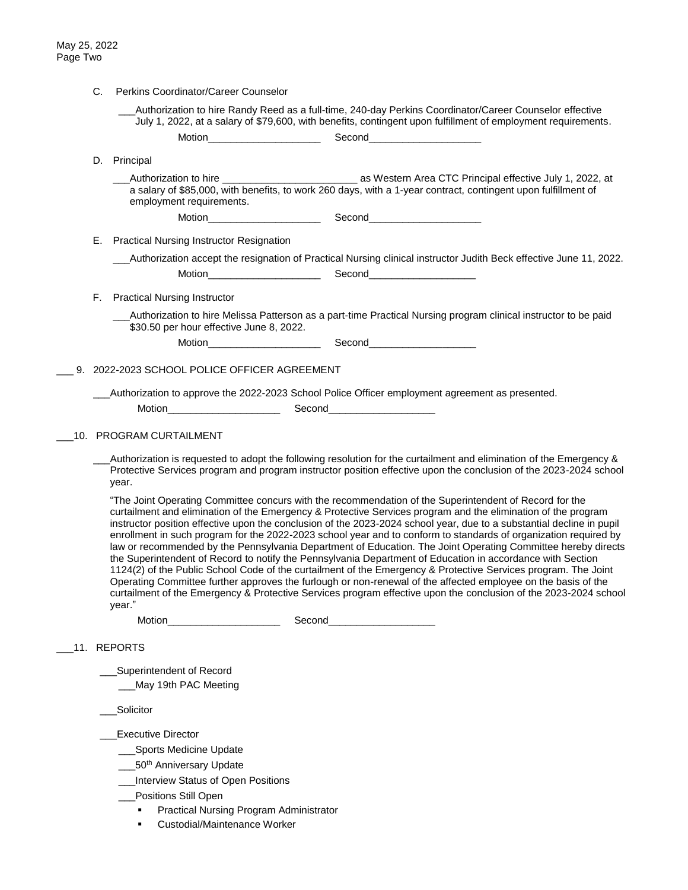|     | C. | Perkins Coordinator/Career Counselor                                                                                                                                                                                           |                                                                                                                                                                                                                                                                                                                                                                                                                                                                                                                                                                                                                                                                                                                                                                                                                                                                                                                                                                                                                                                           |  |
|-----|----|--------------------------------------------------------------------------------------------------------------------------------------------------------------------------------------------------------------------------------|-----------------------------------------------------------------------------------------------------------------------------------------------------------------------------------------------------------------------------------------------------------------------------------------------------------------------------------------------------------------------------------------------------------------------------------------------------------------------------------------------------------------------------------------------------------------------------------------------------------------------------------------------------------------------------------------------------------------------------------------------------------------------------------------------------------------------------------------------------------------------------------------------------------------------------------------------------------------------------------------------------------------------------------------------------------|--|
|     |    |                                                                                                                                                                                                                                | Authorization to hire Randy Reed as a full-time, 240-day Perkins Coordinator/Career Counselor effective<br>July 1, 2022, at a salary of \$79,600, with benefits, contingent upon fulfillment of employment requirements.                                                                                                                                                                                                                                                                                                                                                                                                                                                                                                                                                                                                                                                                                                                                                                                                                                  |  |
|     |    |                                                                                                                                                                                                                                |                                                                                                                                                                                                                                                                                                                                                                                                                                                                                                                                                                                                                                                                                                                                                                                                                                                                                                                                                                                                                                                           |  |
|     |    | D. Principal                                                                                                                                                                                                                   |                                                                                                                                                                                                                                                                                                                                                                                                                                                                                                                                                                                                                                                                                                                                                                                                                                                                                                                                                                                                                                                           |  |
|     |    | employment requirements.                                                                                                                                                                                                       | __Authorization to hire ___________________________________ as Western Area CTC Principal effective July 1, 2022, at<br>a salary of \$85,000, with benefits, to work 260 days, with a 1-year contract, contingent upon fulfillment of                                                                                                                                                                                                                                                                                                                                                                                                                                                                                                                                                                                                                                                                                                                                                                                                                     |  |
|     |    |                                                                                                                                                                                                                                |                                                                                                                                                                                                                                                                                                                                                                                                                                                                                                                                                                                                                                                                                                                                                                                                                                                                                                                                                                                                                                                           |  |
|     | Е. | <b>Practical Nursing Instructor Resignation</b>                                                                                                                                                                                |                                                                                                                                                                                                                                                                                                                                                                                                                                                                                                                                                                                                                                                                                                                                                                                                                                                                                                                                                                                                                                                           |  |
|     |    |                                                                                                                                                                                                                                | _Authorization accept the resignation of Practical Nursing clinical instructor Judith Beck effective June 11, 2022.                                                                                                                                                                                                                                                                                                                                                                                                                                                                                                                                                                                                                                                                                                                                                                                                                                                                                                                                       |  |
|     | F. | <b>Practical Nursing Instructor</b>                                                                                                                                                                                            |                                                                                                                                                                                                                                                                                                                                                                                                                                                                                                                                                                                                                                                                                                                                                                                                                                                                                                                                                                                                                                                           |  |
|     |    | \$30.50 per hour effective June 8, 2022.                                                                                                                                                                                       | Authorization to hire Melissa Patterson as a part-time Practical Nursing program clinical instructor to be paid                                                                                                                                                                                                                                                                                                                                                                                                                                                                                                                                                                                                                                                                                                                                                                                                                                                                                                                                           |  |
|     |    | Motion Second Second Second Second Second Second Second Second Second Second Second Second Second Second Second Second Second Second Second Second Second Second Second Second Second Second Second Second Second Second Secon |                                                                                                                                                                                                                                                                                                                                                                                                                                                                                                                                                                                                                                                                                                                                                                                                                                                                                                                                                                                                                                                           |  |
|     |    | 9. 2022-2023 SCHOOL POLICE OFFICER AGREEMENT                                                                                                                                                                                   |                                                                                                                                                                                                                                                                                                                                                                                                                                                                                                                                                                                                                                                                                                                                                                                                                                                                                                                                                                                                                                                           |  |
|     |    |                                                                                                                                                                                                                                | _Authorization to approve the 2022-2023 School Police Officer employment agreement as presented.                                                                                                                                                                                                                                                                                                                                                                                                                                                                                                                                                                                                                                                                                                                                                                                                                                                                                                                                                          |  |
|     |    | Motion________________________                                                                                                                                                                                                 | Second_______________________                                                                                                                                                                                                                                                                                                                                                                                                                                                                                                                                                                                                                                                                                                                                                                                                                                                                                                                                                                                                                             |  |
|     |    | 10. PROGRAM CURTAILMENT                                                                                                                                                                                                        |                                                                                                                                                                                                                                                                                                                                                                                                                                                                                                                                                                                                                                                                                                                                                                                                                                                                                                                                                                                                                                                           |  |
|     |    |                                                                                                                                                                                                                                |                                                                                                                                                                                                                                                                                                                                                                                                                                                                                                                                                                                                                                                                                                                                                                                                                                                                                                                                                                                                                                                           |  |
|     |    | year.                                                                                                                                                                                                                          | Authorization is requested to adopt the following resolution for the curtailment and elimination of the Emergency &<br>Protective Services program and program instructor position effective upon the conclusion of the 2023-2024 school                                                                                                                                                                                                                                                                                                                                                                                                                                                                                                                                                                                                                                                                                                                                                                                                                  |  |
|     |    | year."                                                                                                                                                                                                                         | "The Joint Operating Committee concurs with the recommendation of the Superintendent of Record for the<br>curtailment and elimination of the Emergency & Protective Services program and the elimination of the program<br>instructor position effective upon the conclusion of the 2023-2024 school year, due to a substantial decline in pupil<br>enrollment in such program for the 2022-2023 school year and to conform to standards of organization required by<br>law or recommended by the Pennsylvania Department of Education. The Joint Operating Committee hereby directs<br>the Superintendent of Record to notify the Pennsylvania Department of Education in accordance with Section<br>1124(2) of the Public School Code of the curtailment of the Emergency & Protective Services program. The Joint<br>Operating Committee further approves the furlough or non-renewal of the affected employee on the basis of the<br>curtailment of the Emergency & Protective Services program effective upon the conclusion of the 2023-2024 school |  |
|     |    | Motion_______________________                                                                                                                                                                                                  | Second________________________                                                                                                                                                                                                                                                                                                                                                                                                                                                                                                                                                                                                                                                                                                                                                                                                                                                                                                                                                                                                                            |  |
| 11. |    | <b>REPORTS</b>                                                                                                                                                                                                                 |                                                                                                                                                                                                                                                                                                                                                                                                                                                                                                                                                                                                                                                                                                                                                                                                                                                                                                                                                                                                                                                           |  |
|     |    | Superintendent of Record                                                                                                                                                                                                       |                                                                                                                                                                                                                                                                                                                                                                                                                                                                                                                                                                                                                                                                                                                                                                                                                                                                                                                                                                                                                                                           |  |
|     |    | May 19th PAC Meeting                                                                                                                                                                                                           |                                                                                                                                                                                                                                                                                                                                                                                                                                                                                                                                                                                                                                                                                                                                                                                                                                                                                                                                                                                                                                                           |  |
|     |    | Solicitor                                                                                                                                                                                                                      |                                                                                                                                                                                                                                                                                                                                                                                                                                                                                                                                                                                                                                                                                                                                                                                                                                                                                                                                                                                                                                                           |  |
|     |    | <b>Executive Director</b>                                                                                                                                                                                                      |                                                                                                                                                                                                                                                                                                                                                                                                                                                                                                                                                                                                                                                                                                                                                                                                                                                                                                                                                                                                                                                           |  |
|     |    | ___Sports Medicine Update                                                                                                                                                                                                      |                                                                                                                                                                                                                                                                                                                                                                                                                                                                                                                                                                                                                                                                                                                                                                                                                                                                                                                                                                                                                                                           |  |
|     |    | _50 <sup>th</sup> Anniversary Update                                                                                                                                                                                           |                                                                                                                                                                                                                                                                                                                                                                                                                                                                                                                                                                                                                                                                                                                                                                                                                                                                                                                                                                                                                                                           |  |
|     |    | Interview Status of Open Positions                                                                                                                                                                                             |                                                                                                                                                                                                                                                                                                                                                                                                                                                                                                                                                                                                                                                                                                                                                                                                                                                                                                                                                                                                                                                           |  |
|     |    | Positions Still Open                                                                                                                                                                                                           |                                                                                                                                                                                                                                                                                                                                                                                                                                                                                                                                                                                                                                                                                                                                                                                                                                                                                                                                                                                                                                                           |  |
|     |    | Practical Nursing Program Administrator                                                                                                                                                                                        |                                                                                                                                                                                                                                                                                                                                                                                                                                                                                                                                                                                                                                                                                                                                                                                                                                                                                                                                                                                                                                                           |  |
|     |    | Custodial/Maintenance Worker                                                                                                                                                                                                   |                                                                                                                                                                                                                                                                                                                                                                                                                                                                                                                                                                                                                                                                                                                                                                                                                                                                                                                                                                                                                                                           |  |